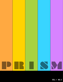

**VOL. 1 NO. 2**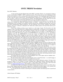# **ONTC PRISM Newsletter**

Dear ONTC Members,

A warm welcome from the Editorial desk of the ONTC's newsletter "Prism". It is our pleasure to bring to you this second edition of PRISM – ONTC's quarterly newsletter. The current times have been challenging for both industry and academia as well as exciting from an innovations perspective. New technologies must be innovated to be able to meet the needs of telecom users. Telecommunications is slated to be a 2.7 trillion USD industry by 2013 and to get there, a whole new set of innovations are required. 100 Gigabit Ethernet and data centers are two areas that would be critical in terms of innovation and business case to get our industry to those levels.

The current month is also an important one in terms of dissemination of technology in our community. The industry just concluded the IEEE 802 Standards Plenary in Orlando – marking 30 years since the first 802 standardization work was adopted. The academic conference Infocom also concluded in San Diego this week. From the optical communications industry perspective, our most important event, the OFC conference starts Sunday, March 21. This year's conference is dedicated to Dr. Charles Kao, industry pioneer of the optic fiber and last year's Nobel Prize winner.

In this issue of Prism we bring to you 3 articles on a wide range of topics. The first article is by John Ambrosia, Chair of the IEEE P802.3ba or 100Gbps Ethernet working group. As John puts it to the community, the 802.3ba is on its home stretch with it being finalized sometime in the next 6-8 months. This is perhaps the most important standard for this decade and it will mark an important step in our industry. As Bob Metcalfe put it eloquently in his 2008 OFC keynote, Ethernet and SONET/SDH have been playing tic-tac-toe, with Ethernet multiplying itself 10x and SONET/SDH 4x in each new avatars. At 10Gbps, the two technologies have rendezvoused together thereby bringing the telecom and the computer world at cross roads. In its next avatar Ethernet makes a gigantic leap to 100Gbps and this work will likely become the future of metro and access transport and spilling into the long-haul. John Ambrosia in his article talks about the evolution of 100Gbps Ethernet and the different thoughts, approaches etc. to making this technology happen. From the editorial desk of Prism, we do invite folks from the TDM world to send in articles on their thoughts to the next generation of high-speed transport. In particular, we seek folks to talk about OTN technologies and how to map OTN at 100Gbps.

The second article is by Weiqiang Sun and his group at Shanghai Jiaotong University in China and it talks about exploring the potential of GMPLS for future application. GMPLS has some interesting potential and along with ASON, forms the backbone of the network-wide control plane. Whether this technology can be adapted to newer applications, like clouds, IT virtualization etc., is something that we have to only wait and see.

The third article is by Christian Rothenberg from the University of Campinas in Brazil. This article is about Re-architecting cloud data center networks. The article compares different approaches to data center interconnection. Data centers from an IT application perspective are becoming very important and both CAPEX as well as OPEX issues need to be considered. Apart from these functionality within the data center environment is important, and this is where the article highlights the different approaches that have been presented in literature. From the editorial desk, we do ask industry to also communicate on their approaches to the data center with the hope that there is good match between the requirements of the industry and what academia has to offer.

The editorial desk also from this issue onwards highlight events, call for papers and new standards work – all of which would be relevant information for our readers.

We also do hope readers would send in their thoughts on how to make Prism better – we would be happy to publish their messages even if all of these cannot be adopted at the same time!

The next issue of PRISM would have its primary focus on large collaborative projects. We hence invite prospective authors to cover ongoing or recently concluded large collaborative projects. Interested authors who would like to send in an article, are welcome to send a 4 page (single column, 10 point font, with all one-inch margins) to submissions@ontc-prism.org. The deadline for reception of articles is May 15, 2010.

On behalf of the TAB we are thankful to the IEEE Communication Society as well as to the ONTC officers Byrav, Suresh, Admela and Dominic who have supported us in making this newsletter happen. A new member joins the TAB – Wael William Diab, from Broadcom. Wael is also actively involved in the standards.

It is our hope that the newsletter would bring the community together and identifying areas of growth and common interest.

Ashwin Gumaste, IIT Bombay.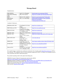# **Message Board**

### Standardization:

| <b>IEEE SIEPON</b>          | April 14-16, Shanghai  | http://grouper.ieee.org/groups/1904/1/      |
|-----------------------------|------------------------|---------------------------------------------|
| <b>IEEE</b> Interim Meeting | May 24-28, Geneva      | http://www.ieee802.org/1/meetings/#may10gen |
| (802)                       |                        |                                             |
| <b>IETF</b>                 | March 21-26, Anaheim   | http://www.ietf.org/meeting/77/index.html   |
| <b>IEEE</b> Plenary         | July, 11-16, San Diego | http://ieee802.facetoface-events.com/future |
| <b>ITU SG15</b>             |                        | http://www.itu.int/ITU-                     |
|                             |                        | T/studygroups/com15/index.asp               |

Academic Conferences

| <b>IEEE/OSA OFC 2010</b> | Conf March 21-26. San   | http://www.ofcnfoec.org/                             |
|--------------------------|-------------------------|------------------------------------------------------|
|                          | Diego                   |                                                      |
| IEEE Globecom 2010       | CFP March 31            | http://www.ieee-globecom.org/                        |
|                          | Conf Dec 6-10. Miami    |                                                      |
| <b>IEEE LCN 2010</b>     | CFP April 12. Conf Oct  | http://www.ieeelcn.org/                              |
|                          | 11-14 Denver, CO.       |                                                      |
| IEEE ICC 2010            | May 23-27, South Africa | http://www.ieee-icc.org                              |
| IEEE ICC 2011            | CFP Sept. 7:            | http://www.comsoc.org/confs/icc/2011/index.php       |
|                          | June 5-9, 2011, Kyoto,  |                                                      |
|                          | Japan.                  |                                                      |
| <b>IEEE ANTS 2010</b>    | CFP July 15:            | www.ieee-ants.org                                    |
|                          | Conf: Dec 15-17,        |                                                      |
|                          | Bombay, India           |                                                      |
| <b>HPSR 2010</b>         | Conf June 14-16, UT-    | http://opnear.utdallas.edu/activ/hpsr2010/index.html |
|                          | Dallas, Richardson, TX  |                                                      |
| <b>ICTON 2010</b>        | CFP March 31, Conf June | http://www.nit.eu/konf/icton/2010/                   |
|                          | 27-July 1, Munich,      |                                                      |
|                          | Germany.                |                                                      |
| Infocom 2011             | CFP July 30, Conf April | http://www.ieee-infocom.org/2011/                    |
|                          | 10-15, Shanghai, China. |                                                      |

We would be happy to include more conferences in the above list, if readers email editor@ontc-prism.org a CFP of the conference. The conference must be at least technically supported by ONTC or ComSoc to be included in the list above and follow the ONTC endorsement policy.

Key journals reporting results in the optical networking area:

IEEE/OSA Journal of Optical Communication and networks (JOCN) http://www.opticsinfobase.org/jocn/journal/jon/author.cfm IEEE/OSA Journal of Lightwave Technology: http://ieeexplore.ieee.org/xpl/RecentIssue.jsp?punumber=50 IEEE/ACM Transactions on Networking: http://www.ton.seas.upenn.edu/ IEEE Communications Magazine: http://mc.manuscriptcentral.com/commag-ieee IEEE Network: http://dl.comsoc.org/ni/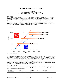# **The Next Generation of Ethernet**

John D'Ambrosia Senior Scientist, CTO Group, Force10 Networks Chair, IEEE P802.3ba 40Gb/s and 100Gb/s Ethernet Task Force

#### *Introduction*

In December of 2007 the IEEE Standards Association approved the formation of the IEEE P802.3ba Task Force, which was chartered with the development of 40 Gigabit Ethernet (40 GbE) and 100 Gigabit Ethernet (100GbE). The shift from the traditional Ethernet approach of 10x leaps only in speed reflected the differing growth rates between computing / server applications and network aggregation applications. Networking applications, whose bandwidth requirements are doubling approximately every 18 months, have greater bandwidth demands than computing applications, where the bandwidth capabilities for servers are doubling approximately every 24 months. The impact of this difference in bandwidth growth is illustrated in Figure 1.



Figure 1- Bandwidth Growth Forecasts<sup>i</sup>

The physical layer specifications selected for each rate target the distance requirements for the intended applications. For computing and server applications at 40 Gb/s, there are three distance objectives: at least 1m over a backplane; at least 7m over a copper cable assembly; and at least 100m on OM3 multimode fiber (MMF). For core networking and aggregation applications at 100 Gb/s, there are four distance objectives: at least 7m over a copper cable assembly; at least 100m on OM3 MMF; at least 10km on single-mode fiber (SMF); and at least 40km on SMF. Additionally, the need for the transmission of Ethernet over optical transport networks (OTN) was recognized, and an objective to provide appropriate support for OTN was adopted.

### *Physical Layer Specifications*

**Table 1** provides a summary of the different physical layer specifications that were ultimately targeted by the task force with their respective port type names.

| Port Type   | Reach                  | $40$ GbE | $100$ GbE | Description        |
|-------------|------------------------|----------|-----------|--------------------|
| 40GBASE-KR4 | At least 1 m backplane |          |           | $4 \times 10$ Gb/s |
| 40GBASE-CR4 | At least 7m cu cable   |          |           | "n" $X$ 10 Gb/s    |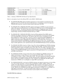| $100$ GBASE-CR10 |                       |  |                         |
|------------------|-----------------------|--|-------------------------|
| 40GBASE-SR4      | At least 100m OM3 MMF |  | "n" x $10$ Gb/s         |
| $100$ GBASE-SR10 |                       |  | (Use of Parallel Fiber) |
| 40GBASE-LR4      | At least 10km SMF     |  | $4 \times 10$ Gb/s      |
| $100$ GBASE-LR4  | At least 10km SMF     |  | $4 \times 25$ Gb/s      |
| $100$ GBASE-ER4  | At least 40km SMF     |  | $4 \times 25$ Gb/s      |

Table 1 – Summary of IEEE P802.3ba Physical Layer Specifications

Below is a description of each of the different PHYs in the 40GbE / 100GbE family:

- The 40GBASE-KR4 PMD supports backplane transmission over four channels in each direction at 40 gigabit per second. The effective date rate per differential pair is 10 gigabit per second. It leverages the 10GBASE-KR architecture, already developed channel requirements and PMD.
- The 40GBASE-CR4 / 100GBASE-CR10 PHY supports transmission of 100GbE over 7m of twinaxial copper cable across four differential pair in each direction for 40GbE and across ten differential pair in each direction for 100GbE. The effective date rate per differential pair is 10 gigabit per second. The PHY leverages past work from the Backplane Ethernet project by utilizing the 10GBASE-KR architecture, channel budget, and Physical Medium Dependent Sub-layer. (PMD).
- The 40GBASE-SR4 / 100GBASE-SR10 PHY is based on 850nm multimode fiber (MMF) optical technology and supports transmission of 40GbE across four parallel fibers in each direction and 100GbE across ten parallel fibers in each direction. The effective date rate per lane is 10 gigabit per second. Optical Multimode 3 (OM3) grade fiber, which has an effective modal bandwidth of 2000MHz/km, can support reaches up to at least 100m, while Optical Multimode 4 (OM4) grade fiber, which has a an effective modal bandwidth of 4700MHz/km, can support reaches up to at least 125m. An optional nonretimed electrical interface, CPPI (100 Gigabit Parallel Physical Interface), has been designed to support chip-to-module applications, and is optimized based on the 40/100GBASE-SR physical layer specification.
- The 40GBASE-LR4 PMD is based on 1310nm, Coarse Wave Division Multiplexing (CWDM) technology and supports transmission over at least 10km over Single-mode fiber (SMF). The grid is based on the ITU G.694.2 specification, and the wavelengths used are 1270, 1290, 1310, and 1330nm. The effective data rate per lambda is 10 gigabit per second, which will help maximize re-use of existing 10G PMD technology. Therefore, the 40GBASE-LR4 PMD supports transmission of 40 Gigabit Ethernet over 4 wavelengths on each SMF in each direction.
- The 100GBASE-LR4 PHY is based on Dense Wave Division Multiplexing (DWDM) technology and supports transmission of at least 10km over a pair of single-mode fibers (SMF). The four center wavelengths are 1295nm , 1300nm, 1305nm, and 1310nm. The center frequencies are spaced at 800 GHz, and are members of the frequency grid for 100 GHz spacing and above defined in ITU-T G.694.1. The effective data rate per lambda is 25 gigabit per second. Therefore, the 100GBASE-LR4 PMD supports transmission of 100GbE over 4 wavelengths on a single SMF in each direction.
- The 100GBASE-ER4 PHY is also based on DWDM technology and supports transmission of at least 40km over a pair of single-mode fibers. The four center wavelengths are 1295nm, 1300nm, 1305nm, and 1310nm. The center frequencies are spaced at 800 GHz, and are members of the frequency grid for 100 GHz spacing and above defined in ITU-T G.694.1. The effective data rate per lambda is 25 gigabit per second. Therefore, the 100GBASE-LR4 PMD supports transmission of 100GbE over 4 wavelengths on a single SMF in each direction. To achieve the 40km reaches called for, it is anticipated that implementations may need to include semiconductor optical amplifier (SOA) technology.

### *The IEEE P802.3ba Architecture*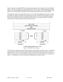Figure 2 illustrates the overall IEEE P802.3ba architecture that supports both 40 Gigabit Ethernet and 100 Gigabit Ethernet. While all of the PHYs have a Physical Coding (PCS) sub-layer, Physical Medium Attachment (PMA) sub-layer, and a Physical Medium Dependent (PMD) sub-layer, only the copper cable (-CR) and backplane (-KR) PHYs have an Auto-Negotiation (AN) sub-layer and an optional Forward Error Correction (FEC) sublayer.

This architecture is the true innovation in the standard, as it is a flexible and scalable architecture that can support both 40GbE and 100GbE, the multiple PHYs being developed as part of the IEEE P802.3ba standard, as well as physical layer specifications that may be developed by future task forces. The keys to this flexible architecture reside in the lane distribution scheme of the Physical Coding (PCS) sub-layer and the multiplex / de-multiplex functionality of the Physical Medium Attachment (PMA) sub-layer.



Figure 2 - IEEE P802.3ba Architecture

The PCS sub-layer couples the respective Media Independent Interface (MII) to the PMA sub-layer. The aggregate stream coming from the MII into the PCS sub-layer undergoes the 64B/66B coding scheme that was used in 10 Gigabit Ethernet. Using a round robin distribution scheme, 66-bit blocks are then distributed across multiple lanes, referred to as "PCS Lanes," each with a unique lane marker, which is periodically inserted. This is illustrated in Figure 3. For 40GbE there are four PCS lanes and for 100GbE there are twenty PCS lanes.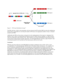

## Figure 3 – PCS Lane Distribution Concept <sup>ii</sup>

The PMA sub-layer, which is the intermediary sub-layer between the PCS and the PMD, provides the multiplexing function that is responsible for converting the number of PCS lanes to the appropriate number of lanes or channels needed by the PMD.

Additionally, the PMA sub-layer plays an integral role in the implementation of the respective Attachment Unit Interface (AUI), which is an optional physical interface based on 10Gb/s electrical signaling, as a PMA sub-layer will exist on both sides of the respective AUI. These interfaces are used for portioning the system design, and are used for chip-to-chip and chip-to-module applications. For 40 Gigabit Ethernet, the AUI is called "XLAUI" ("XL" is the Roman numeral for 40), and there are four transmit pairs and four receive pairs.

### *Conclusions*

While the upcoming ratification of the IEEE P802.3ba standard, scheduled for June of 2010, will be a major accomplishment, it is anticipated that the 100GbE family will undergo further development. For example, at the time of writing this column the IEEE 802.3 has formed a new study group that will examine the need for the development of a 40Gb/s Ethernet single-mode fiber PMD that is optimized for client applications in the carrier environment. It is also anticipated that future developments in electrical and optical signaling will be applied to the IEEE P802.3ba architecture, which was developed for just this purpose. Furthermore, the IEEE P802.3ba architecture was conceived as an architecture that could scale to support future speeds of Ethernet, and as noted earlier, based on the observation that bandwidth requirements for core networking applications are doubling approximately every 18 months, core networking applications are forecasted to need Terabit Ethernet in 2015.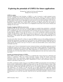# **Exploring the potentials of GMPLS for future applications**

Weiqiang Sun, Yaohui Jin, Wei Guo and Weisheng Hu Shanghai Jiao Tong University

### **GMPLS at a glance**

Generalized Multiprotocol Label Switching, or GMPLS, is a suite of protocols to enable automated resource discovery, automated service provisioning and automated failure recovery. Driven by the benefit of improved network reliability (through protection or fast failure recovery) and reduced network OPEX, an increasing amount of GMPLS enabled networks are now being deployed in metro area and even in national backbones. In the short run, the deployment of such networks will enable network operators to provide new value added services such as Bandwidth on Demand (BoD) with a reduced OPEX. In the long run, GMPLS networks have the potential of carrying a big variety of services. In this article we try to highlight the current status in the research community and challenges for such a trend.

### **Examples of applying GMPLS for novel services**

Starting from 2001, the time when the key concepts and features are gradually being standardized, a considerable number of efforts have been seen in the area of putting GMPLS into advanced networking/service environments. This is exemplified by the various research programs in the US, Europe and Asia (see [1] and [2] for an overview). In such programs, GMPLS has not only been used as a way to reduce management complexity and increase reliability, like the industry is doing right now, but also it is used as a new way for service provisioning. For example, the GMPLS control plane is often integrated with the application to realize seamless on-demand circuit provisioning, so that dynamic data intensive applications may be served with dedicated bandwidth pipes in an efficient manner.

In a more recent effort, Vincent W. S. Chan et al. argue that GMPLS can be one of the enabling technologies for realizing large scale dynamic wavelength services to the masses [3]. By combining statistical multiplexing in access networks and GMPLS provisioned quasi-static light-paths in core networks, the researchers claim that future all optical networks may be able to serve up to  $10^7$  users in a metro area network (MAN), each at a data rate that a wavelength can provide.

In another work, W. Sun et al. demonstrated cross-layer circuit provisioning to satisfy different application needs [2]. An application, instead of an end system as a whole, can be the entity to request a light-path. In the demonstration, the initiation of light-path setup is seamlessly integrated with the TCP 3-way handshake process, resulting in a high performance yet transparent transmission service. When implemented in a private network, this way of circuit provisioning may be an interesting candidate for future demanding applications, data center inter-connection being one of them.

### **Dynamic provisioning performance of GMPLS**

Before GMPLS can be fully utilized to its potential, it is important that we have good ways to characterize and measure its performance. What seem obvious performance measures include LSP dynamic provisioning performance, failure recover performance, singling and routing scalability etc. What seems less obvious is the consistency between control plane and data plane. Standardization on some of these performance measures has started [4-7] and still has a long way to go.

From 2004, we performed a number of tests on several SDH based GMPLS networks/testbeds. The main finding of the tests include: i) Implementation of GMPLS is getting mature over time. We find that the delay to setup a 2-hop LSP decreased steadily from the initial 600+ milliseconds to less than 100 milliseconds. ii) LSP setup delay exhibits high variance, especially under high traffic load. This may have very important implications to applications when LSP setup/release is very dynamic. iii) LSP setup delay can be highly implementation dependent. Although randomness is observed in all measurements, we find that different implementations may exhibit totally different statistical behavior. iv) the delay in cross connection programming and data plan/control plane interaction can be a dominating part in the overall LSP setup delay. Small but non-zero setup failure probability is observed in many tests.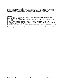These results indicate that although current state of GMPLS impelmentations may well meet the current provisioning requirements, it is far from enough for future applications. As both the interest and understanding in this topic are increasing in the community, it is expected that more issues will be identified. Further engineering of existing protocols and implementations will be necessary for significant performance improvement.

This research is supported in part by STCSM under grant 09QA1403200 and NSFC.

#### **References**

[1] I. W. Habib et al., "Deployment of the GMPLS control plane for grid applications in experimental high-performance networks," IEEE Commun. Mag., vol. 44, no. 3, pp.65-73, 2006.

[2] W. Sun et al., "A cross-layer optical circuit provisioning framework for data intensive IP end hosts," IEEE Communications Magazine, vol. 46, no. 2, pp.S30-37, 2008.

[3] Vincent W. S. Chan et al., Optical Flow Switching, http://www.mit.edu/~medard/papersnew/WOBS Final.pdf, accessed Jan.2010

[4] W. Sun et al., "Label Switched Path (LSP) Dynamic Provisioning Performance Metrics in Generalized MPLS Networks," Internet draft, draftietf-ccamp-lsp-dppm-11.txt, Dec. 2009, work in progress.

[5] W. Sun et al., "Label Switched Path (LSP) Data Path Delay Metric in Generalized MPLS/MPLS-TE Networks," draft-sun-ccamp-dpm-00.txt, Internet draft, work in progress

[6] S. Poretsky et al., "Benchmarking Terminology for Protection Performance," Internet Draft, draft-ietf-bmwg-protection-term-07.txt, Nov. 2008, work in progress.

[7] R. Papneja et al., "Methodology for Benchmarking MPLS Protection Mechanisms," Internet draft, draft-ietf-bmwg-protection-meth-06.txt, Nov. 2008, work in progress.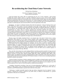# **Re-architecting the Cloud Data-Center Networks**

Christian Esteve Rothenberg

University of Campinas (Unicamp) – Brazil chesteve@dca.fee.unicamp.br

Large-scale Internet data centers (DC) are empowering the new era of *cloud computing*, a still evolving paradigm that promises infinite capacity, no up-front commitment and pay-as-you-go service models. Ongoing research [3] towards providing low-cost powerful *utility computing* facilities includes large-scale (geo)-distributed application programming, innovation in the infrastructure (e.g., energy management, packing), and re-thinking how to interconnect thousands of commodity PCs. In this article, we focus on the latter and review developments that are taken place in architecting data center networks (DCN) to meet the requirements of the cloud.

Introduction - In contrast to traditional enterprise DCs built from high-prize "scale-up" hardware devices and servers, cloud service DCs consist of low-cost commodity servers that, in large numbers and with appropriate software support (e.g., virtualization), match the performance and reliability of traditional approaches at a fraction of the cost. However, the networking fabric within the data center has not evolved (yet) to the same levels of commoditization [1]. Today's DCs use expensive enterprise-class networking equipment that require tedious network and IT management practices to provide efficient Internet-scale data center services. Consolidated on converged IP/Ethernet technologies, current DCNs are constrained by the traditional L2/L3 hierarchical organization which hampers the *agility* to dynamically assign services provided by virtual machines (VM) to any available physical server. Moreover, IP subnetting and VLAN fragmentation end up yielding poor server-to-server capacity even when relying on expensive equipment at the upper layers of the hierarchy [5].

Resource usage in the highly virtualized Cloud is very dynamic due to the nature of cloud services, causing unpredictable traffic patterns [11] for which common enterprise traffic engineering practices or intra-domain networks are not well suited and often result in over-subscription rates as high as 1:240 [4]. While not critical in enterprise networks, two main limitations of traditional Ethernet adversely affect its use in DCs: (1) scalability limits of ARP-broadcasting-based bridged spanning tree topologies; and (2) means to alleviate congestion without increasing latency. As a result, Ethernet-based store and forward switching potentially cause unacceptable high latencies in addition to dropped or reordered packets and excessive path failure recovery times even in the rapid versions of the spanning tree protocol (STP). An additional network management issue is concerned with the requirement of tweaking network path selection mechanisms to force the traffic across an ordered sequence of middleboxes (e.g., firewall, WAN opt., DPI, LB).

These and other shortcomings have made traditional Ethernet switching generally unsuitable for large-scale and high-performance computing needs of the cloud DCN. Industry efforts have been undertaken towards Data Center Ethernet extensions to provide QoS, enhanced bridging (IEEE 802.1 DCB), multipathing (IETF TRILL), Fibre Channel support, and additional Convergence Enhanced Ethernet (CEE) amendments. In the following, instead of delving into the market-driven incremental path of DC Ethernet solutions, we focus on the overarching requirements identified by industry and academia:

· Resource Pooling. The illusion of infinite computing resources available on demand requires means for elastic computing and agile networking. Hence, statistical multiplexing of physical servers and network paths needs to be pushed to levels higher than ever. Such degree of *agility* is possible (i) if IP addresses can be assigned to any VM within any physical server, and (ii) if all network paths are enabled and load-balanced.

· Scalability. Dynamically networking a large pool of location-independent IP addresses (i.e., in the order of millions of VMs) requires a large scale Ethernet forwarding layer. Unfortunately, ARP broadcasts, MAC table size constraints, and STP limitations place a practical limit on the size of the system.

· Performance. Available bandwidth should be high and uniform, independent from the endpoints' location. Therefore, congestion-free routing is required for any traffic matrix, in addition to fault-tolerance (i.e., graceful degradation) to link and server instabilities.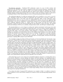Re-architecting approaches - Traditional DCN architectures consist of a tree of L2/L3 switches with progressively more specialized and expensive equipment moving up the network hierarchy. Unfortunately, this architectural approach is not only costly but results in the network becoming the bottleneck for cloud DC applications. Recent research in re-architecting DCNs has spurred creative designs to interconnect PCs at large, including shipping-container-tailored designs with servers acting as routers and switches as dummy crossbars [6] or re-thinking the flatness of MAC Ethernet addresses in favor of location-based pseudo MAC addresses [8].

The architectural approach of so-called next generation DCNs can be classified as *server-centric* or *networkcentric*, depending on where the new features are implemented. The common goal is to provide a scalable, costefficient networking fabric to host Web, cloud and cluster applications. Many of these applications require bandwidth-intensive, one-to-one, one-to-several (e.g., distributed file systems), one-to-all (e.g., application data broadcasting), or all-to-all (e.g., MapReduce) communications among servers. Non-uniform bandwidth among DC nodes complicates application design (i.e., requires notion of data locality) and limits the overall system performance, turning the inter-node bisection bandwidth the main bottleneck in large-scale DCNs. The principal architectural challenges of DCNs are L2 scalability, limiting broadcast traffic, and allowing for multipath routing.

The rationale behind *server-centric* designs is to embrace the "end-host customization" and leverage servers with additional networking features. In a managed environment like the DC, servers are already commonly equipped with modified operating systems, hypervisors and/or software-based virtual switches to support the instantiation of networked VMs. Under a server-centric paradigm, routing intelligence is (sometimes solely) placed into servers handling also load-balance and fault-tolerance. Servers with multiple network interfaces act as routers (aka P2P networks) and switches do not connect to switches and act as crossbars. The approach is to leverage commodity hardware to "scale-out" instead of high-end devices to "scale up". The resulting server-centric interconnection networks follow the principles of e.g., mesh, torus, rings, hypercubes or *de Bruijn* graphs, well-known from the high performance computing (HPC) and peer-to-peer (P2P) fields.

Two remarkable examples from Microsoft Research branches are VL2 [4] and Bcube [6]. VL2 describes a large Virtual Layer 2 Ethernet DCN that builds upon existing networking technologies and yields uniform high capacity and traffic fairness by virtue of valiant load balancing (VLB) to randomize traffic flows throughout a 3-tiered switching fabric using IP-in-IP encapsulation and Equal Cost Multi-Path (ECMP). In order to support agility, VL2 uses flat addresses in the IP layer and implements address resolution (mapping of application IP address to location IP address) by modifying the end systems and querying a scalable directory service. Bcube [6] is a shippingcontainer-tailored DCN design where switches only interconnect servers acting as routers. Scalable, highperformance forwarding is based on source routing upon a customized shim header (additional packet header) inserted and interpreted by end-hosts, which are equipped with multiple-cores and programmable network interface cards (e.g., NetFPGA). Container-based modular DCs emerge as an efficient way to deliver computing and storage services by packing a few thousand servers in a single container. The notable benefits are the easy deployment (just plug-in power, network, and chilled water), the high mobility, the increased cooling efficiency, and foremost the savings in manufacturing and hardware administration. Challenges include high resilience to network and server failures, since manual hardware replacement may be unfeasible or not cost-effective.

On the other hand, *network-centric* designs aim at unmodified endpoints connected to a switching fabric such as a Clos network, a Butterfly or a fat-tree topology. For instance, the fat-tree topology is very appealing because it provides an enormous amount of bisection bandwidth (without over-subscription) while using only small, uniform switching elements [1, 2]. The key modification happens at the control plane of the network, leaving end hosts and the switch hardware untouched, exploiting the availability of an open API such as OpenFlow [7]. Network customization through switch programmability requires network-wide controllers to install the forwarding tables of switches, resolve IP identifiers to network locators in response to ARP requests intercepted at edge switches, which are programmed for the desired line-speed packet flow handling actions (e.g., header re-writings). For instance, PortLand [8] is a native layer 2 network based on translating Ethernet MAC addresses into position-based "pseudo" MAC addresses. Network equipment vendors have already begun building switches from merchant silicon using multi-stage fat-tree topologies internally [2].

If we abstract the details of proposed DCN architectures (see examples in Table 1), in addition to design for failure (breakdown of servers and switches assumed to be common at scale), the following design principles can be identified: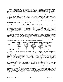· Scale-out topologies. Similar to how HPC clusters have been using two and multi-layer Clos configurations for around a decade because of their nice properties (e.g., blocking probability, identical switching elements), scale-out topologies of cloud DCN commonly follow a 3-tier arrangement with a lower layer of top-of-rack (ToR) switches, a layer of aggregation switches, and an upper layer of core switches. However, as long as they offer large path diversity and low diameter, other scale-out topologies can be considered (e.g., DHT-like rings, Torus).

· Separating Names from Locations. Identifier-locator split is not only an issue of Internet routing research (cf. IRTF RRG, LISP) to overcome the semantic overload of IP addresses, but is the common approach in DCNs to enable scalability and resource pooling of IP addressable services. The lack of topological constraints when assigning IP addresses to physical servers and VMs, enables cloud services to expand or contract their footprint as required. In this context, IP addresses are not meaningful for packet routing, which is commonly based on a revisited (usually source-routing-based) packet forwarding approach.

· Traffic randomization. The burstiness and the unpredictability of DC traffic patterns [11] requires routing solutions that provide load balancing for all possible traffic patterns, i.e., demand-oblivious load balanced routing schemes. Oblivious routing has shown excellent performance guarantees for changing and uncertain traffic demands in the Internet backbones and more recently in DCN environments [4, 6]. For instance, VLB bounces off every flow to random intermediate switches and can be implemented via encapsulation (e.g., IEEE 802.1ah, IP-in-IP) or revisited packet header bit spaces (e.g., position-based hierarchical MAC addresses [8], Bloom-filter-based Ethernet fields [13]).

· Centralized controllers. In order to customize the DCN and achieve the meet control requirements, a direct networking approach based on logically centralized controllers is a common approach to transparently provide the networking functions (address resolution, route computation) and support services (topology discovery, monitoring, optimization). Implemented as fault-tolerant distributed services in commodity servers, centralized directory and control plane services have shown to scale well and be able to take over the network control, rendering floworiented networking, load balancing, health services, multicast management, and so on.

|                       |                     |                     | . .               |                  |                    |
|-----------------------|---------------------|---------------------|-------------------|------------------|--------------------|
|                       | VL2 [4]             | Monsoon [5]         | Bcube [6]         | Portland [8]     | SiBF [13]          |
| Topology              | 3-tier 5-stage Clos | 3-tier 5-stage Clos | Hypercube         | 3-level fat-tree | Any                |
| Routing & Forwarding  | $IP-in-IP$          | MAC-in-MAC          | Shim-header-based | Position-based   | Bloom-filter-based |
|                       | encapsulation       | tunneling           | source routing    | hierarchical MAC | source routing MAC |
| Load balancing        | VLB.                | VLB                 | <b>Oblivious</b>  | Not defined      | VLB                |
| End-host modification | Yes                 | Yes                 | Yes               | No               | No                 |
| Programmable switches | No                  | Yes                 | No                | Yes              | Yes                |

**Table 1. Comparison of published architectural approaches for cloud data center networks.** 

Trends - Cloud DCs are like factories, i.e., the number one goal is to maximize useful work per dollar spent. Hence, many efforts are devoted to minimize the costs of running the large scale infrastructures [3], which requires bringing down the power usage effectiveness (PUE) levels and potentially benefiting from tax incentives for (near) zero-carbon-emission DCs. In this context, energy efficiency of photonic cross-connects outperform the electrical counterparts. However, before we assist to the first all-optical DCN, the price-per-Gbit of optical ports needs to sink at a higher rate than the electrical versions. Further technology market break even points that need to be monitored include high speed memory and solid state disks. Spinning-based hard disks offer the best bit-per-dollar ratio but are limited by their access time, which motivates the design of novel DC architectures [9] where information is kept entirely in low latency RAM or solid state flash drives, while legacy disks are deprecated to back-up jobs. Another ratio that may motivate the design of new (content-centric) inter-networking solutions is the *memory vs. transit* price, which may motivate DCNs (and routers) to cache every piece of data in order to reduce the costs of remote requests.

The so-called green networking trend favors connections to remote locations close to (cheap/clean) energy sources. Recent studies [10] in cost-aware Internet routing have reported 40% savings of a cloud computing installation's power usage by dynamically re-routing service requests to wherever electricity prices are lowest on a particular day, or perhaps even where the data center is cooler. Such green inter-networking approaches require routing algorithms that track electricity prices and take advantage of daily and hourly fluctuations, weighting up the physical distance needed to route information against the potential savings from reduced energy costs.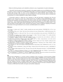Finally, the following domains can be identified as distinctive areas of opportunities for optical technologies:

1) Intra-DCN with all-optical technology, potentially with multiple lambdas per port and WDM-based solutions. Innovation is call for to provide fast reconfigurable optical paths to circumvent congestions by dynamically setting up light paths between ToRs (cf. [12]), or novel configuration-less multicast-friendly optical switching, e.g., borrowing from the Bloom filter principle of the electrical domain (cf. [13]) to provide pure optical switching based on the presence of a certain combination of optical signal wavelengths.

2) Inter-DCN solutions to support the (live) migration of VM and data-intense computation jobs from the enterprise to the cloud and vice-versa, the so-called *cloud-bursting*. In addition to being bandwidth-hungry, cloudbursting requires scalable networking solutions with built-in security and control mechanisms (aka Virtual Private Lan Services - VPLS) that provide addressing protocol and topology transparency over QoS capable virtual private clouds. In this context, multi-domain optical technologies may be an aid to the emergence of an Inter-Cloud, i.e., the inter-networking of Clouds (public, private, internal) for the dynamic creation of federated computing environments that promise to leverage the Internet to an even more consolidated global service platform.

#### **References**

- [1] M. Al-Fares, A. Loukissas, and A. Vahdat, "A scalable, commodity data center network architecture," SIGCOMM CCR, vol. 38, no. 4, pp. 63–74, 2008.
- [2] N. Farrington, E. Rubow, and A. Vahdat, "Data Center Switch Architecture in the Age of Merchant Silicon," in IEEE Hot Interconnects, New York, Aug. 2009.
- [3] A. Greenberg, J. Hamilton, D. A. Maltz, and P. Patel, "The cost of a cloud: research problems in data center networks," SIGCOMM CCR, vol. 39, no. 1, 2009.
- [4] A. Greenberg, J. R. Hamilton, N. Jain, S. Kandula, C. Kim, P. Lahiri, D. A. Maltz, P. Patel, and S. Sengupta, "Vl2: a scalable and flexible data center network," SIGCOMM CCR, vol. 39, no. 4, pp. 51–62, 2009.
- [5] A. Greenberg, P. Lahiri, D. A. Maltz, P. Patel, and S. Sengupta, "Towards a next generation data center architecture: scalability and commoditization," in PRESTO '08. New York, NY, USA: ACM, 2008, pp. 57–62.
- [6] C. Guo, G. Lu, D. Li, H. Wu, X. Zhang, Y. Shi, C. Tian, Y. Zhang, and S. Lu, "Bcube: a high performance, server-centric network architecture for modular data centers," in SIGCOMM '09. ACM, 2009.
- [7] N. McKeown, T. Anderson, H. Balakrishnan, G. Parulkar, L. Peterson, J. Rexford, S. Shenker, and J. Turner, "Openflow: enabling innovation in campus networks," SIGCOMM CCR, vol. 38, no. 2, pp. 69–74, 2008.
- [8] R. Niranjan Mysore, A. Pamboris, N. Farrington, N. Huang, P. Miri, S. Radhakrishnan, V. Subramanya, and A. Vahdat, "Portland: a scalable fault-tolerant layer 2 data center network fabric," in SIGCOMM '09, 2009.
- [9] J. K. Ousterhout et al., "The case for ramclouds: Scalable high performance storage entirely in dram," SIGOPS Oper. Syst. Rev. 43, 4 (Jan. 2010), 92-105.
- [10] A. Qureshi, R. Weber, H. Balakrishnan, J. Guttag, and B. Maggs, "Cutting the electric bill for internet-scale systems," in SIGCOMM '09. ACM, 2009.
- [11] A. G. S. Kandula, Sudipta Sengupta and P. Patel, "The nature of data center traffic: Measurements and analysis," in ACM SIGCOMM IMC, November 2009.
- [12] G. Wang, D. G. Andersen, M. Kaminsky, M. Kozuch, T. S. E. Ng, K. Papagiannaki, M. Glick, and L. Mummert, "Your data center is a router: The case for reconfigurable optical circuit switched paths," in Proc. of HotNets-VIII, 2009.
- [13] C. Esteve Rothenberg, C. A. Macapuna, F. L. Verdi, M. F. Magalhães and A. Zahemszky, "Data center networking with in-packet Bloom filters", in 28th Brazilian Symposium on Computer Networks (SBRC), Gramado, Brazil, May 2010.

#### **Bio**

Christian Esteve Rothenberg is a research scientist at Fundação Centro de Pesquisa e Desenvolvimento (CPqD), Campinas , Brazil. His main technical interests include Cloud Computing, IMS/NGN, Service Delivery Platforms, OpenFlow, and Future Internet architectures. He works towards his PhD on compact forwarding methods in datacentric networks at University of Campinas (Unicamp), Brazil. He holds a Telecommunication Engineering degree from the Technical University of Madrid (UPM), Spain, and a German Diplom in Electrical Engineering and Information Technology from the Darmstadt University of Technology (TUD) for his thesis at Deutsche Telekom / T-Systems on IMS-based fixed mobile convergence and mobility management.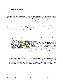#### About PRISM (*www.ontc-prism.org*)

Aim: To disseminate relevant content pertaining to optical networking and related growth areas across industry and academia. To promote the growth of optical networking activity by creation of a unified knowledge base. To create a communication bridge between industry and academia in terms of research frontiers and complementary strategies for future growth.

**Scope**: The optical networking community stands at a point where its potential is not fully realized. The bandwidth offered by the fiber at price points that currently prevail is a fantastic business case for Internet services for providers the world over. Optical networking has transcended itself from a point-to-point communication service to a WDM based multi-point granular networking hierarchy. This journey was made possible through successful and important innovations in the optics and networking domain, bringing together a rich technology set for deployment in telecommunication networks. It would be fair to say that without optical networking, the scope of the Internet would not reach its global scale that it has presently reached. In the future, optical networking has the potential to impact the telecom world through new innovations in architecture, protocol and devices that would lead to new service offerings impacting human lives. Amongst these futuristic offerings are cloud computing, energy efficient systems, data-centers, 100 Gigabit Ethernet, WDM PON, multi-point communication systems, sub-wavelength grooming and transparent ROADM-based services. It is clear, and especially pronounced in Asia and parts of Europe that optical networking will play a very important role in the design of future networks. Whether it is the GENI project in the US or the Akari in Japan – optical networking finds a clear way into technological offerings for the future of the telecommunication industry. From a historical perspective, optical networking has offered significantly to the telecom industry – we distinctly note that after the telecommunication bubble burst, it was the area of metropolitan networks that led to the re-bounce of telecommunications the world over. It is always important to highlight such historical perspectives from industry leaders and pioneers to bring the optical community closer. We continue to exploit the latest advances in this area of telecommunications – delving on the research and development of optical networking solutions.

The scope of the newsletter is as follows:

- A forum that brings the optical networking community together, through leadership articles in technology and research.
- Bring to the fore issues that both industry and academia are working on, with the focus of being able to minimize this gap through interaction via the newsletter forum.
- Highlight important events related to the area of optical networking, in particular focus on consortiums, projects, awards, seminal breakthroughs, standards and industry related information.
- Research: Focus on research issues pertaining to optical networking. Showcase key growth areas (like data centers, metro ROADMs, 100GE, etc.).
- Consortiums and Projects: Focus on consortiums and projects relevant to optical networking, in which the primary entities are research focused (non-profit groups like universities etc.)
- Developing Economies: Focus on emerging economies and the networks there.
- Standardization activity: The newsletter will periodically discuss standard related activities especially when new drafts are circulated or a standard in form of an MSA is accepted. A standard pioneer will be invited to write about the standard. Our focus will be on the IEEE 802 working group, the ITU groups and FSAN groups in terms of coverage.
- Industry information: latest *technical* happenings will be reported from the industry. These will be critically based on demonstrations at international tradeshows such as OFC, ECOC and World Broadband Forum. Care will be taken not to report any company specific information and ensure vendor neutrality in the newsletter.
- Service provider focus: Since a key consumption point of our industry are service providers, it is most important to focus a section of the newsletter on them. We will in every newsletter focus on the latest happenings in the provider space – whether it is adoption of new technologies or new deployments or even network designs, we will cover these through neutral writings. In particular, we will ensure that no names are taken in the coverage, making it generic – for example, "a select provider in the North America has decided to deploy ROADM technology using WSS cross-connects [source]..".
- Periodically create a roadmap of technologies in different domains pertaining to optical networking. The roadmap would be a team effort by multiple experts in association with the editor.
- Optical Networking is Fun (ONiF): a section devoted to humor in optical networking puzzles, crosswords and "did you know" for after-hours research.

Submit your article as a .pdf file to submissions@ontc-prism.org. Note that you must have a covering note that descibes the nature of the article from one of the above scope keywords. **The scope keywords are: consortiums, projects, growth areas, emerging economies, Standardization activity, Industry information, Service provider focus, roadmap of technologies and Optical Networking is Fun.** 

Note to prospective authors: ONTC Prism follows strict policies mandated by the IEEE Code of Ethics. We will strongly enforce plagiarism and self-plagiarism as a review criteria. For more information visit:http://www.ieee.org/web/publications/rights/ID\_Plagiarism.html.